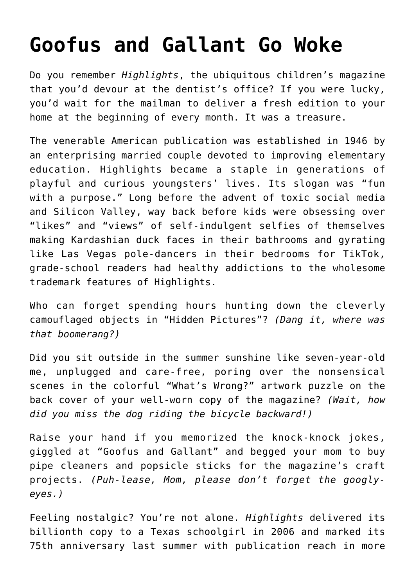## **[Goofus and Gallant Go Woke](https://intellectualtakeout.org/2022/06/goofus-and-gallant-go-woke/)**

Do you remember *Highlights*, the ubiquitous children's magazine that you'd devour at the dentist's office? If you were lucky, you'd wait for the mailman to deliver a fresh edition to your home at the beginning of every month. It was a treasure.

The venerable American publication was established in 1946 by an enterprising married couple devoted to improving elementary education. Highlights became a staple in generations of playful and curious youngsters' lives. Its slogan was "fun with a purpose." Long before the advent of toxic social media and Silicon Valley, way back before kids were obsessing over "likes" and "views" of self-indulgent selfies of themselves making Kardashian duck faces in their bathrooms and gyrating like Las Vegas pole-dancers in their bedrooms for TikTok, grade-school readers had healthy addictions to the wholesome trademark features of Highlights.

Who can forget spending hours hunting down the cleverly camouflaged objects in "Hidden Pictures"? *(Dang it, where was that boomerang?)*

Did you sit outside in the summer sunshine like seven-year-old me, unplugged and care-free, poring over the nonsensical scenes in the colorful "What's Wrong?" artwork puzzle on the back cover of your well-worn copy of the magazine? *(Wait, how did you miss the dog riding the bicycle backward!)*

Raise your hand if you memorized the knock-knock jokes, giggled at "Goofus and Gallant" and begged your mom to buy pipe cleaners and popsicle sticks for the magazine's craft projects. *(Puh-lease, Mom, please don't forget the googlyeyes.)*

Feeling nostalgic? You're not alone. *Highlights* delivered its billionth copy to a Texas schoolgirl in 2006 and marked its 75th anniversary last summer with publication reach in more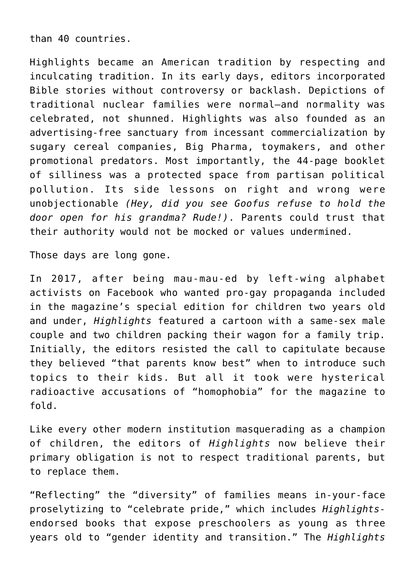than 40 countries.

Highlights became an American tradition by respecting and inculcating tradition. In its early days, editors incorporated Bible stories without controversy or backlash. Depictions of traditional nuclear families were normal—and normality was celebrated, not shunned. Highlights was also founded as an advertising-free sanctuary from incessant commercialization by sugary cereal companies, Big Pharma, toymakers, and other promotional predators. Most importantly, the 44-page booklet of silliness was a protected space from partisan political pollution. Its side lessons on right and wrong were unobjectionable *(Hey, did you see Goofus refuse to hold the door open for his grandma? Rude!)*. Parents could trust that their authority would not be mocked or values undermined.

Those days are long gone.

In 2017, after being mau-mau-ed by left-wing alphabet activists on Facebook who wanted pro-gay propaganda included in the magazine's special edition for children two years old and under, *Highlights* featured a cartoon with a same-sex male couple and two children packing their wagon for a family trip. Initially, the editors resisted the call to capitulate because they believed "that parents know best" when to introduce such topics to their kids. But all it took were hysterical radioactive accusations of "homophobia" for the magazine to fold.

Like every other modern institution masquerading as a champion of children, the editors of *Highlights* now believe their primary obligation is not to respect traditional parents, but to replace them.

"Reflecting" the "diversity" of families means in-your-face proselytizing to "celebrate pride," which includes *Highlights*endorsed books that expose preschoolers as young as three years old to "gender identity and transition." The *Highlights*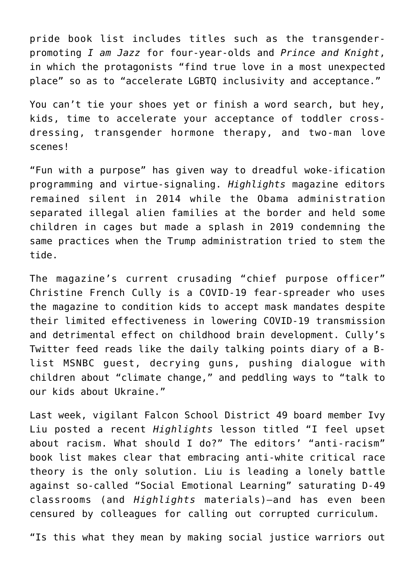pride book list includes titles such as the transgenderpromoting *I am Jazz* for four-year-olds and *Prince and Knight*, in which the protagonists "find true love in a most unexpected place" so as to "accelerate LGBTQ inclusivity and acceptance."

You can't tie your shoes yet or finish a word search, but hey, kids, time to accelerate your acceptance of toddler crossdressing, transgender hormone therapy, and two-man love scenes!

"Fun with a purpose" has given way to dreadful woke-ification programming and virtue-signaling. *Highlights* magazine editors remained silent in 2014 while the Obama administration separated illegal alien families at the border and held some children in cages but made a splash in 2019 condemning the same practices when the Trump administration tried to stem the tide.

The magazine's current crusading "chief purpose officer" Christine French Cully is a COVID-19 fear-spreader who uses the magazine to condition kids to accept mask mandates despite their limited effectiveness in lowering COVID-19 transmission and detrimental effect on childhood brain development. Cully's Twitter feed reads like the daily talking points diary of a Blist MSNBC guest, decrying guns, pushing dialogue with children about "climate change," and peddling ways to "talk to our kids about Ukraine."

Last week, vigilant Falcon School District 49 board member Ivy Liu posted a recent *Highlights* lesson titled "I feel upset about racism. What should I do?" The editors' "anti-racism" book list makes clear that embracing anti-white critical race theory is the only solution. Liu is leading a lonely battle against so-called "Social Emotional Learning" saturating D-49 classrooms (and *Highlights* materials)—and has even been censured by colleagues for calling out corrupted curriculum.

"Is this what they mean by making social justice warriors out